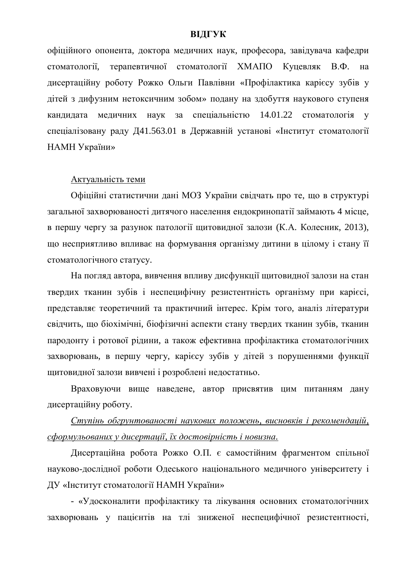## **ВІДГУК**

офіційного опонента, доктора медичних наук, професора, завідувача кафедри стоматології, терапевтичної стоматології ХМАПО Куцевляк В.Ф. на дисертаційну роботу Рожко Ольги Павлівни «Профілактика карієсу зубів у дітей з дифузним нетоксичним зобом» подану на здобуття наукового ступеня кандидата медичних наук за спеціальністю 14.01.22 стоматологія у спеціалізовану раду Д41.563.01 в Державній установі «Інститут стоматології НАМН України»

## Актуальність теми

Офіційні статистични дані МОЗ України свідчать про те, що в структурі загальної захворюваності литячого населення енлокринопатії займають 4 місце. в першу чергу за разунок патології щитовидної залози (К.А. Колесник, 2013), що несприятливо впливає на формування організму дитини в цілому і стану її стоматологічного статусу.

На погляд автора, вивчення впливу дисфункції щитовидної залози на стан твердих тканин зубів і неспецифічну резистентність організму при карієсі, представляє теоретичний та практичний інтерес. Крім того, аналіз літератури свідчить, що біохімічні, біофізичні аспекти стану твердих тканин зубів, тканин пародонту і ротової рідини, а також ефективна профілактика стоматологічних захворювань, в першу чергу, карієсу зубів у дітей з порушеннями функції щитовидної залози вивчені і розроблені недостатньо.

Враховуючи вище наведене, автор присвятив цим питанням дану дисертаційну роботу.

## *ɋɬɭɩɿɧɶ ɨɛɝɪɭɧɬɨɜɚɧɨɫɬɿ ɧɚɭɤɨɜɢɯ ɩɨɥɨɠɟɧɶ, ɜɢɫɧɨɜɤɿɜ ɿ ɪɟɤɨɦɟɧɞɚɰɿɣ,*  $c\phi$ ормульованих у дисертації, їх достовірність і новизна.

Дисертаційна робота Рожко О.П. є самостійним фрагментом спільної науково-дослідної роботи Одеського національного медичного університету і ДУ «Інститут стоматології НАМН України»

- «Удосконалити профілактику та лікування основних стоматологічних захворювань у пацієнтів на тлі зниженої неспецифічної резистентності,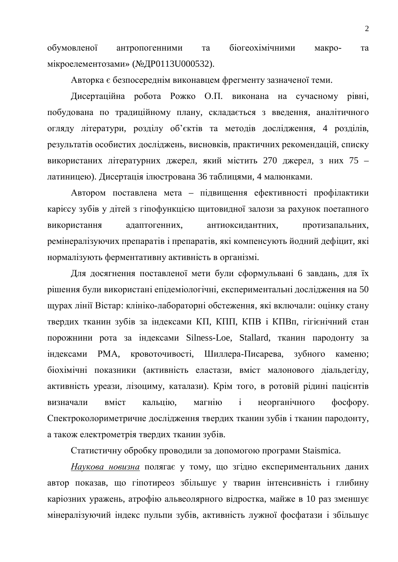обумовленої антропогенними та біогеохімічними макро- та мікроелементозами» (№ДР0113U000532).

Авторка є безпосереднім виконавцем фрегменту зазначеної теми.

Дисертаційна робота Рожко О.П. виконана на сучасному рівні, побудована по традиційному плану, складається з введення, аналітичного огляду літератури, розділу об'єктів та методів дослідження, 4 розділів, результатів особистих досліджень, висновків, практичних рекомендацій, списку використаних літературних джерел, який містить 270 джерел, з них 75 – латиницею). Дисертація ілюстрована 36 таблицями, 4 малюнками.

Автором поставлена мета – підвищення ефективності профілактики карієсу зубів у дітей з гіпофункцією щитовидної залози за рахунок поетапного використання адаптогенних, антиоксидантних, протизапальних, ремінералізуючих препаратів і препаратів, які компенсують йодний дефіцит, які нормалізують ферментативну активність в організмі.

Для досягнення поставленої мети були сформульвані 6 завдань, для їх рішення були використані епідеміологічні, експериментальні дослідження на 50 щурах лінії Вістар: клініко-лабораторні обстеження, які включали: оцінку стану твердих тканин зубів за індексами КП, КПП, КПВ і КПВп, гігієнічний стан порожнини рота за індексами Silness-Loe, Stallard, тканин пародонту за індексами РМА, кровоточивості, Шиллера-Писарева, зубного каменю; біохімічні показники (активність еластази, вміст малонового діальдегіду, активність уреази, лізоциму, каталази). Крім того, в ротовій рідині пацієнтів визначали вміст кальцію, магнію і неорганічного фосфору. Спектроколориметричне дослідження твердих тканин зубів і тканин пародонту, а також електрометрія твердих тканин зубів.

Статистичну обробку проводили за допомогою програми Staismica.

Наукова новизна полягає у тому, що згідно експериментальних даних автор показав, що гіпотиреоз збільшує у тварин інтенсивність і глибину каріозних уражень, атрофію альвеолярного відростка, майже в 10 раз зменшує мінералізуючий індекс пульпи зубів, активність лужної фосфатази і збільшує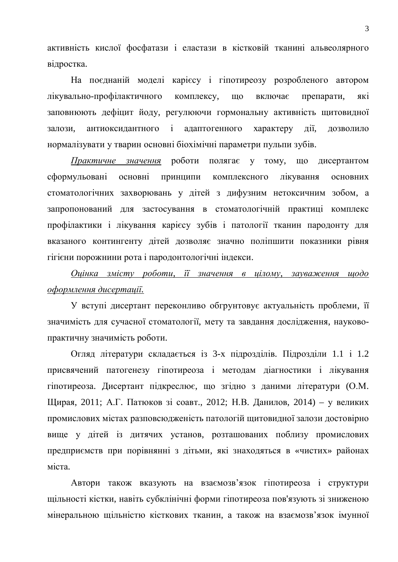активність кислої фосфатази і еластази в кістковій тканині альвеолярного відростка.

На поєднаній моделі карієсу і гіпотиреозу розробленого автором лікувально-профілактичного комплексу, що включає препарати, які заповнюють дефіцит йоду, регулюючи гормональну активність щитовидної залози, антиоксидантного і адаптогенного характеру дії, дозволило нормалізувати у тварин основні біохімічні параметри пульпи зубів.

Практичне значення роботи полягає у тому, що дисертантом сформульовані основні принципи комплексного лікування основних стоматологічних захворювань у дітей з дифузним нетоксичним зобом, а запропонований для застосування в стоматологічній практиці комплекс профілактики і лікування карієсу зубів і патології тканин пародонту для вказаного контингенту дітей дозволяє значно поліпшити показники рівня гігієни порожнини рота і пародонтологічні індекси.

*Ɉɰɿɧɤɚ ɡɦɿɫɬɭ ɪɨɛɨɬɢ, ʀʀ ɡɧɚɱɟɧɧɹ ɜ ɰɿɥɨɦɭ, ɡɚɭɜɚɠɟɧɧɹ ɳɨɞɨ*  $\alpha$ *формлення* дисертації.

У вступі дисертант переконливо обгрунтовує актуальність проблеми, її значимість для сучасної стоматології, мету та завдання дослідження, науковопрактичну значимість роботи.

Огляд літератури складається із 3-х підрозділів. Підрозділи 1.1 і 1.2 присвячений патогенезу гіпотиреоза і методам діагностики і лікування гіпотиреоза. Дисертант підкреслює, що згідно з даними літератури (О.М. Щирая, 2011; А.Г. Патюков зі соавт., 2012; Н.В. Данилов, 2014) – у великих промислових містах разповсюдженість патологій щитовидної залози достовірно вище у дітей із дитячих установ, розташованих поблизу промислових предприємств при порівнянні з дітьми, які знаходяться в «чистих» районах міста

Автори також вказують на взаємозв'язок гіпотиреоза і структури щільності кістки, навіть субклінічні форми гіпотиреоза пов'язують зі зниженою мінеральною щільністю кісткових тканин, а також на взаємозв'язок імунної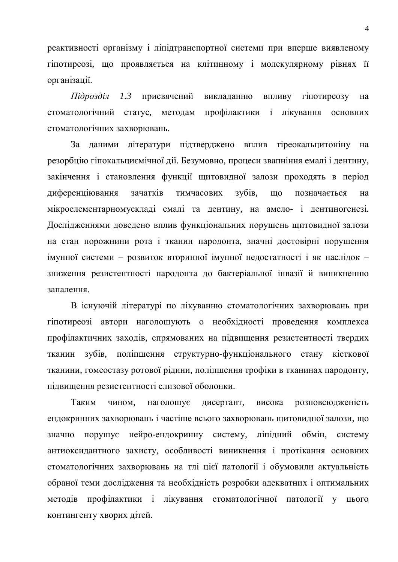реактивності організму і ліпідтранспортної системи при вперше виявленому гіпотиреозі, що проявляється на клітинному і молекулярному рівнях її організації.

*Підрозділ 1.3* присвячений викладанню впливу гіпотиреозу на стоматологічний статус, методам профілактики і лікування основних стоматологічних захворювань.

За даними літератури підтверджено вплив тіреокальцитоніну на резорбцію гіпокальциємічної дії. Безумовно, процеси звапніння емалі і дентину, закінчення і становлення функції щитовидної залози проходять в період диференціювання зачатків тимчасових зубів, що позначається на мікроелементарномускладі емалі та дентину, на амело- і дентиногенезі. Дослідженнями доведено вплив функціональних порушень щитовидної залози на стан порожнини рота і тканин пародонта, значні достовірні порушення імунної системи – розвиток вторинної імунної недостатності і як наслідок – зниження резистентності пародонта до бактеріальної інвазії й виникненню запалення

В існуючій літературі по лікуванню стоматологічних захворювань при гіпотиреозі автори наголошують о необхідності проведення комплекса профілактичних заходів, спрямованих на підвищення резистентності твердих тканин зубів, поліпшення структурно-функціонального стану кісткової тканини, гомеостазу ротової рідини, поліпшення трофіки в тканинах пародонту, підвищення резистентності слизової оболонки.

Таким чином, наголошує дисертант, висока розповсюдженість ендокринних захворювань і частіше всього захворювань щитовидної залози, що значно порушує нейро-ендокринну систему, ліпідний обмін, систему антиоксидантного захисту, особливості виникнення і протікання основних стоматологічних захворювань на тлі цієї патології і обумовили актуальність обраної теми дослідження та необхідність розробки адекватних і оптимальних методів профілактики і лікування стоматологічної патології у цього контингенту хворих дітей.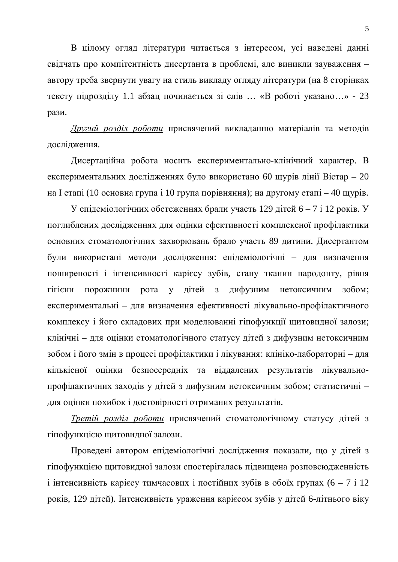В цілому огляд літератури читається з інтересом, усі наведені данні свідчать про компітентність дисертанта в проблемі, але виникли зауваження автору треба звернути увагу на стиль викладу огляду літератури (на 8 сторінках тексту підрозділу 1.1 абзац починається зі слів ... «В роботі указано...» - 23 рази.

Другий розділ роботи присвячений викладанню матеріалів та методів дослідження.

Дисертаційна робота носить експериментально-клінічний характер. В експериментальних дослідженнях було використано 60 щурів лінії Вістар – 20 на I етапі (10 основна група і 10 група порівняння); на другому етапі – 40 щурів.

У епідеміологічних обстеженнях брали участь 129 дітей 6 – 7 і 12 років. У поглиблених дослідженнях для оцінки ефективності комплексної профілактики основних стоматологічних захворювань брало участь 89 дитини. Дисертантом були використані методи дослідження: епідеміологічні – для визначення поширеності і інтенсивності карієсу зубів, стану тканин пародонту, рівня гігієни порожнини рота у літей з лифузним нетоксичним зобом; експериментальні – для визначення ефективності лікувально-профілактичного комплексу і його складових при моделюванні гіпофункції щитовидної залози; клінічні – для оцінки стоматологічного статусу дітей з дифузним нетоксичним зобом і його змін в процесі профілактики і лікування: клініко-лабораторні – для кількісної оцінки безпосередніх та віддалених результатів лікувальнопрофілактичних заходів у дітей з дифузним нетоксичним зобом; статистичні – для оцінки похибок і достовірності отриманих результатів.

*Третій розділ роботи* присвячений стоматологічному статусу дітей з гіпофункцією щитовидної залози.

Проведені автором епідеміологічні дослідження показали, що у дітей з гіпофункцією щитовидної залози спостерігалась підвищена розповсюдженність  $\overline{a}$  і інтенсивність карієсу тимчасових і постійних зубів в обоїх групах (6 – 7 і 12 років, 129 дітей). Інтенсивність ураження карієсом зубів у дітей 6-літнього віку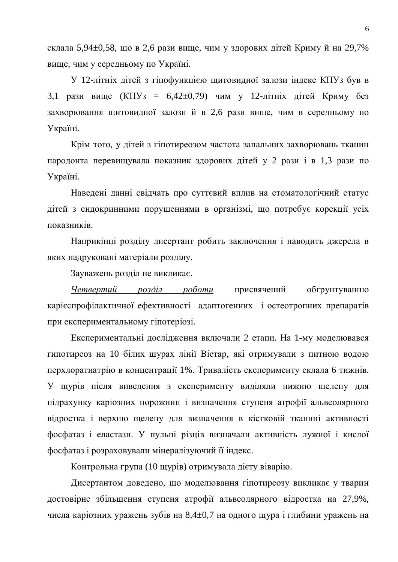склала 5,94 $\pm$ 0,58, що в 2,6 рази вище, чим у здорових дітей Криму й на 29,7% вище, чим у середньому по Україні.

У 12-літніх дітей з гіпофункцією щитовидної залози індекс КПУз був в 3,1 рази вище (КПУз = 6,42 $\pm$ 0,79) чим у 12-літніх дітей Криму без захворювання щитовидної залози й в 2,6 рази вище, чим в середньому по Україні.

Крім того, у дітей з гіпотиреозом частота запальних захворювань тканин пародонта перевищувала показник здорових дітей у 2 рази і в 1,3 рази по Україні.

Наведені данні свідчать про суттєвий вплив на стоматологічний статус дітей з ендокринними порушеннями в організмі, що потребує корекції усіх показників.

Наприкінці розділу дисертант робить заключення і наводить джерела в яких надруковані матеріали розділу.

Зауважень розділ не викликає.

Четвертий розділ роботи присвячений обгрунтуванню карієспрофілактичної ефективності адаптогенних і остеотропних препаратів при експериментальному гіпотеріозі.

Експериментальні дослідження включали 2 етапи. На 1-му моделювався гипотиреоз на 10 білих щурах лінії Вістар, які отримували з питною водою перхлоратнатрію в концентрації 1%. Тривалість експерименту склала 6 тижнів. У щурів після виведення з експерименту виділяли нижню щелепу для підрахунку каріозних порожнин і визначення ступеня атрофії альвеолярного відростка і верхню щелепу для визначення в кістковій тканині активності фосфатаз і еластази. У пульпі різців визначали активність лужної і кислої фосфатаз і розраховували мінералізуючий її індекс.

Контрольна група (10 щурів) отримувала дієту віварію.

Дисертантом доведено, що моделювання гіпотиреозу викликає у тварин достовірне збільшення ступеня атрофії альвеолярного відростка на 27,9%, числа каріозних уражень зубів на 8,4 $\pm$ 0,7 на одного щура і глибини уражень на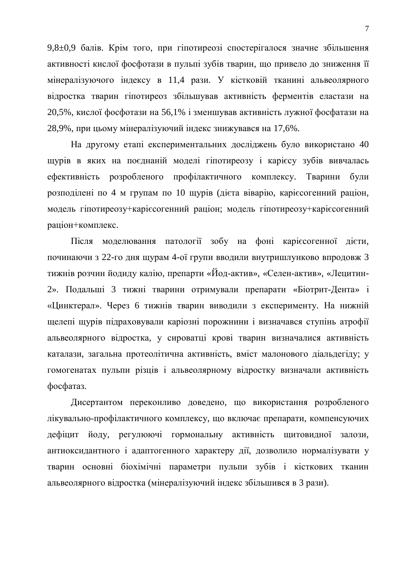9,8 $\pm$ 0,9 балів. Крім того, при гіпотиреозі спостерігалося значне збільшення активності кислої фосфотази в пульпі зубів тварин, що привело до зниження її мінералізуючого індексу в 11,4 рази. У кістковій тканині альвеолярного відростка тварин гіпотиреоз збільшував активність ферментів еластази на 20,5%, кислої фосфотази на 56,1% і зменшував активність лужної фосфатази на 28,9%, при цьому мінералізуючий індекс знижувався на 17,6%.

На другому етапі експериментальних досліджень було використано 40 щурів в яких на поєднаній моделі гіпотиреозу і карієсу зубів вивчалась ефективність розробленого профілактичного комплексу. Тварини були розподілені по 4 м групам по 10 щурів (дієта віварію, каріє согенний раціон, модель гіпотиреозу+каріє согенний раціон; модель гіпотиреозу+каріє согенний раціон+комплекс.

Після моделювання патології зобу на фоні карієсогенної дієти, починаючи з 22-го дня щурам 4-ої групи вводили внутришлунково впродовж 3 тижнів розчин йодиду калію, препарти «Йод-актив», «Селен-актив», «Лецитин-2». Подальші 3 тижні тварини отримували препарати «Біотрит-Дента» і «Цинктерал». Через 6 тижнів тварин виводили з експерименту. На нижній щелепі щурів підраховували каріозні порожнини і визначався ступінь атрофії альвеолярного відростка, у сироватці крові тварин визначалися активність каталази, загальна протеолітична активність, вміст малонового діальдегіду; у гомогенатах пульпи різців і альвеолярному відростку визначали активність фосфатаз.

Дисертантом переконливо доведено, що використання розробленого лікувально-профілактичного комплексу, що включає препарати, компенсуючих дефіцит йоду, регулюючі гормональну активність щитовидної залози, антиоксидантного і адаптогенного характеру дії, дозволило нормалізувати у тварин основні біохімічні параметри пульпи зубів і кісткових тканин альвеолярного відростка (мінералізуючий індекс збільшився в 3 рази).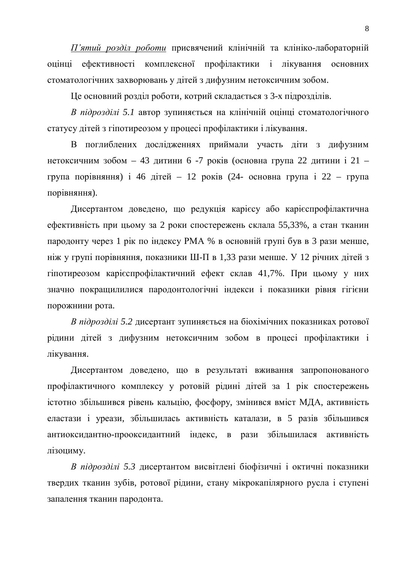*П'ятий розділ роботи* присвячений клінічній та клініко-лабораторній оцінці ефективності комплексної профілактики і лікування основних стоматологічних захворювань у дітей з дифузним нетоксичним зобом.

Це основний розділ роботи, котрий складається з 3-х підрозділів.

*В підрозділі 5.1* автор зупиняється на клінічній оцінці стоматологічного статусу дітей з гіпотиреозом у процесі профілактики і лікування.

В поглиблених дослідженнях приймали участь діти з дифузним нетоксичним зобом – 43 дитини 6 -7 років (основна група 22 дитини і 21 – група порівняння) і 46 дітей – 12 років (24- основна група і 22 – група порівняння).

Дисертантом доведено, що редукція карієсу або карієспрофілактична ефективність при цьому за 2 роки спостережень склала 55,33%, а стан тканин пародонту через 1 рік по індексу РМА % в основній групі був в 3 рази менше, ніж у групі порівняння, показники Ш-П в 1,33 рази менше. У 12 річних дітей з гіпотиреозом карієспрофілактичний ефект склав 41,7%. При цьому у них значно покращилилися пародонтологічні індекси і показники рівня гігієни порожнини рота.

*В підрозділі 5.2* дисертант зупиняється на біохімічних показниках ротової рідини дітей з дифузним нетоксичним зобом в процесі профілактики і лікування.

Дисертантом доведено, що в результаті вживання запропонованого профілактичного комплексу у ротовій рідині дітей за 1 рік спостережень істотно збільшився рівень кальцію, фосфору, змінився вміст МДА, активність еластази і уреази, збільшилась активність каталази, в 5 разів збільшився антиоксидантно-прооксидантний індекс, в рази збільшилася активність лізоциму.

*В підрозділі 5.3* дисертантом висвітлені біофізичні і октичні показники твердих тканин зубів, ротової рідини, стану мікрокапілярного русла і ступені запалення тканин пародонта.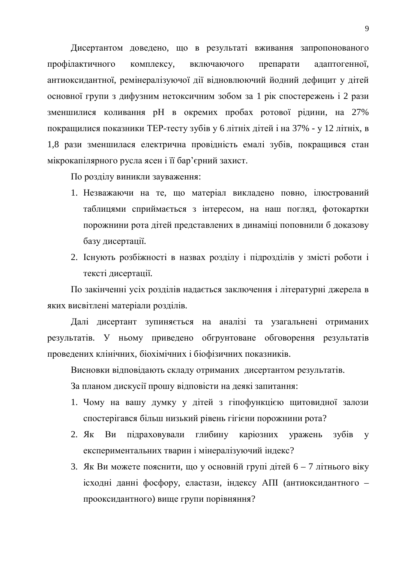Дисертантом доведено, що в результаті вживання запропонованого профілактичного комплексу, включаючого препарати адаптогенної, антиоксидантної, ремінералізуючої дії відновлюючий йодний дефицит у дітей основної групи з дифузним нетоксичним зобом за 1 рік спостережень і 2 рази зменшилися коливання pH в окремих пробах ротової рідини, на 27% покращилися показники ТЕР-тесту зубів у 6 літніх дітей і на 37% - у 12 літніх, в 1,8 рази зменшилася електрична провідність емалі зубів, покращився стан мікрокапілярного русла ясен і її бар'єрний захист.

По розділу виникли зауваження:

- 1. Незважаючи на те, що матеріал викладено повно, ілюстрований таблицями сприймається з інтересом, на наш погляд, фотокартки порожнини рота дітей представлених в динаміці поповнили б доказову базу дисертації.
- 2. Існують розбіжності в назвах розділу і підрозділів у змісті роботи і тексті дисертації.

По закінченні усіх розділів надається заключення і літературні джерела в яких висвітлені матеріали розділів.

Далі дисертант зупиняється на аналізі та узагальнені отриманих результатів. У ньому приведено обгрунтоване обговорення результатів проведених клінічних, біохімічних і біофізичних показників.

Висновки відповідають складу отриманих дисертантом результатів.

За планом дискусії прошу відповісти на деякі запитання:

- 1. Чому на вашу думку у дітей з гіпофункцією щитовидної залози спостерігався більш низький рівень гігієни порожнини рота?
- 2. Як Ви підраховували глибину каріозних уражень зубів у експериментальних тварин і мінералізуючий індекс?
- 3. Як Ви можете пояснити, що у основній групі дітей 6 7 літнього віку ісходні данні фосфору, еластази, індексу АПІ (антиоксидантного – прооксидантного) вище групи порівняння?